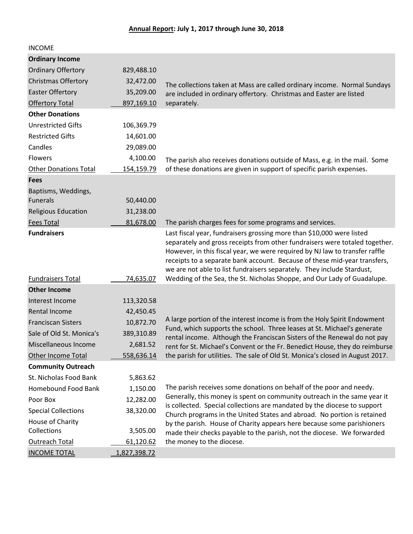| <b>INCOME</b>                |              |                                                                                                                                                                                                                                                                                                                                                                                            |
|------------------------------|--------------|--------------------------------------------------------------------------------------------------------------------------------------------------------------------------------------------------------------------------------------------------------------------------------------------------------------------------------------------------------------------------------------------|
| <b>Ordinary Income</b>       |              |                                                                                                                                                                                                                                                                                                                                                                                            |
| <b>Ordinary Offertory</b>    | 829,488.10   |                                                                                                                                                                                                                                                                                                                                                                                            |
| <b>Christmas Offertory</b>   | 32,472.00    | The collections taken at Mass are called ordinary income. Normal Sundays                                                                                                                                                                                                                                                                                                                   |
| <b>Easter Offertory</b>      | 35,209.00    | are included in ordinary offertory. Christmas and Easter are listed                                                                                                                                                                                                                                                                                                                        |
| <b>Offertory Total</b>       | 897,169.10   | separately.                                                                                                                                                                                                                                                                                                                                                                                |
| <b>Other Donations</b>       |              |                                                                                                                                                                                                                                                                                                                                                                                            |
| <b>Unrestricted Gifts</b>    | 106,369.79   |                                                                                                                                                                                                                                                                                                                                                                                            |
| <b>Restricted Gifts</b>      | 14,601.00    |                                                                                                                                                                                                                                                                                                                                                                                            |
| Candles                      | 29,089.00    |                                                                                                                                                                                                                                                                                                                                                                                            |
| <b>Flowers</b>               | 4,100.00     | The parish also receives donations outside of Mass, e.g. in the mail. Some                                                                                                                                                                                                                                                                                                                 |
| <b>Other Donations Total</b> | 154,159.79   | of these donations are given in support of specific parish expenses.                                                                                                                                                                                                                                                                                                                       |
| <b>Fees</b>                  |              |                                                                                                                                                                                                                                                                                                                                                                                            |
| Baptisms, Weddings,          |              |                                                                                                                                                                                                                                                                                                                                                                                            |
| <b>Funerals</b>              | 50,440.00    |                                                                                                                                                                                                                                                                                                                                                                                            |
| <b>Religious Education</b>   | 31,238.00    |                                                                                                                                                                                                                                                                                                                                                                                            |
| <b>Fees Total</b>            | 81,678.00    | The parish charges fees for some programs and services.                                                                                                                                                                                                                                                                                                                                    |
| <b>Fundraisers</b>           |              | Last fiscal year, fundraisers grossing more than \$10,000 were listed<br>separately and gross receipts from other fundraisers were totaled together.<br>However, in this fiscal year, we were required by NJ law to transfer raffle<br>receipts to a separate bank account. Because of these mid-year transfers,<br>we are not able to list fundraisers separately. They include Stardust, |
| <b>Fundraisers Total</b>     | 74,635.07    | Wedding of the Sea, the St. Nicholas Shoppe, and Our Lady of Guadalupe.                                                                                                                                                                                                                                                                                                                    |
| <b>Other Income</b>          |              |                                                                                                                                                                                                                                                                                                                                                                                            |
| Interest Income              | 113,320.58   |                                                                                                                                                                                                                                                                                                                                                                                            |
| <b>Rental Income</b>         | 42,450.45    |                                                                                                                                                                                                                                                                                                                                                                                            |
| <b>Franciscan Sisters</b>    | 10,872.70    | A large portion of the interest income is from the Holy Spirit Endowment                                                                                                                                                                                                                                                                                                                   |
| Sale of Old St. Monica's     | 389,310.89   | Fund, which supports the school. Three leases at St. Michael's generate<br>rental income. Although the Franciscan Sisters of the Renewal do not pay                                                                                                                                                                                                                                        |
| Miscellaneous Income         | 2,681.52     | rent for St. Michael's Convent or the Fr. Benedict House, they do reimburse                                                                                                                                                                                                                                                                                                                |
| Other Income Total           | 558,636.14   | the parish for utilities. The sale of Old St. Monica's closed in August 2017.                                                                                                                                                                                                                                                                                                              |
| <b>Community Outreach</b>    |              |                                                                                                                                                                                                                                                                                                                                                                                            |
| St. Nicholas Food Bank       | 5,863.62     |                                                                                                                                                                                                                                                                                                                                                                                            |
| Homebound Food Bank          | 1,150.00     | The parish receives some donations on behalf of the poor and needy.                                                                                                                                                                                                                                                                                                                        |
| Poor Box                     | 12,282.00    | Generally, this money is spent on community outreach in the same year it                                                                                                                                                                                                                                                                                                                   |
| <b>Special Collections</b>   | 38,320.00    | is collected. Special collections are mandated by the diocese to support<br>Church programs in the United States and abroad. No portion is retained                                                                                                                                                                                                                                        |
| House of Charity             |              | by the parish. House of Charity appears here because some parishioners                                                                                                                                                                                                                                                                                                                     |
| Collections                  | 3,505.00     | made their checks payable to the parish, not the diocese. We forwarded                                                                                                                                                                                                                                                                                                                     |
| Outreach Total               | 61,120.62    | the money to the diocese.                                                                                                                                                                                                                                                                                                                                                                  |
| <b>INCOME TOTAL</b>          | 1,827,398.72 |                                                                                                                                                                                                                                                                                                                                                                                            |